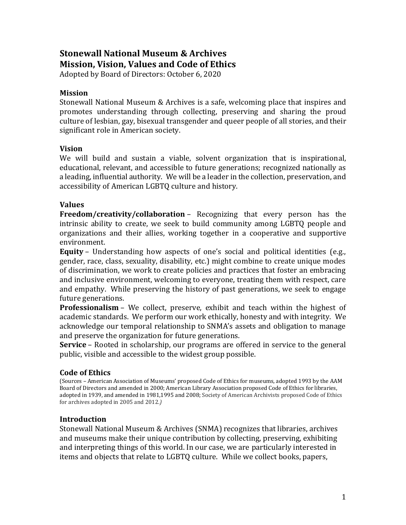# **Stonewall National Museum & Archives Mission, Vision, Values and Code of Ethics**

Adopted by Board of Directors: October 6, 2020

### **Mission**

Stonewall National Museum & Archives is a safe, welcoming place that inspires and promotes understanding through collecting, preserving and sharing the proud culture of lesbian, gay, bisexual transgender and queer people of all stories, and their significant role in American society.

#### **Vision**

We will build and sustain a viable, solvent organization that is inspirational, educational, relevant, and accessible to future generations; recognized nationally as a leading, influential authority. We will be a leader in the collection, preservation, and accessibility of American LGBTQ culture and history.

#### **Values**

**Freedom/creativity/collaboration** – Recognizing that every person has the intrinsic ability to create, we seek to build community among LGBTQ people and organizations and their allies, working together in a cooperative and supportive environment.

**Equity** – Understanding how aspects of one's social and political identities (e.g., gender, race, class, sexuality, disability, etc.) might combine to create unique modes of discrimination, we work to create policies and practices that foster an embracing and inclusive environment, welcoming to everyone, treating them with respect, care and empathy. While preserving the history of past generations, we seek to engage future generations.

**Professionalism** – We collect, preserve, exhibit and teach within the highest of academic standards. We perform our work ethically, honesty and with integrity. We acknowledge our temporal relationship to SNMA's assets and obligation to manage and preserve the organization for future generations.

**Service** – Rooted in scholarship, our programs are offered in service to the general public, visible and accessible to the widest group possible.

#### **Code of Ethics**

(Sources – American Association of Museums' proposed Code of Ethics for museums, adopted 1993 by the AAM Board of Directors and amended in 2000; American Library Association proposed Code of Ethics for libraries, adopted in 1939, and amended in 1981,1995 and 2008; Society of American Archivists proposed Code of Ethics for archives adopted in 2005 and 2012.*)*

## **Introduction**

Stonewall National Museum & Archives (SNMA) recognizes that libraries, archives and museums make their unique contribution by collecting, preserving, exhibiting and interpreting things of this world. In our case, we are particularly interested in items and objects that relate to LGBTQ culture. While we collect books, papers,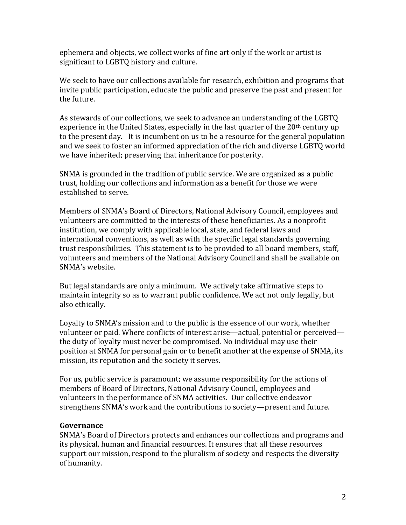ephemera and objects, we collect works of fine art only if the work or artist is significant to LGBTQ history and culture.

We seek to have our collections available for research, exhibition and programs that invite public participation, educate the public and preserve the past and present for the future.

As stewards of our collections, we seek to advance an understanding of the LGBTQ experience in the United States, especially in the last quarter of the  $20<sup>th</sup>$  century up to the present day. It is incumbent on us to be a resource for the general population and we seek to foster an informed appreciation of the rich and diverse LGBTQ world we have inherited; preserving that inheritance for posterity.

SNMA is grounded in the tradition of public service. We are organized as a public trust, holding our collections and information as a benefit for those we were established to serve.

Members of SNMA's Board of Directors, National Advisory Council, employees and volunteers are committed to the interests of these beneficiaries. As a nonprofit institution, we comply with applicable local, state, and federal laws and international conventions, as well as with the specific legal standards governing trust responsibilities. This statement is to be provided to all board members, staff, volunteers and members of the National Advisory Council and shall be available on SNMA's website.

But legal standards are only a minimum. We actively take affirmative steps to maintain integrity so as to warrant public confidence. We act not only legally, but also ethically.

Loyalty to SNMA's mission and to the public is the essence of our work, whether volunteer or paid. Where conflicts of interest arise—actual, potential or perceived the duty of loyalty must never be compromised. No individual may use their position at SNMA for personal gain or to benefit another at the expense of SNMA, its mission, its reputation and the society it serves.

For us, public service is paramount; we assume responsibility for the actions of members of Board of Directors, National Advisory Council, employees and volunteers in the performance of SNMA activities. Our collective endeavor strengthens SNMA's work and the contributions to society—present and future.

#### **Governance**

SNMA's Board of Directors protects and enhances our collections and programs and its physical, human and financial resources. It ensures that all these resources support our mission, respond to the pluralism of society and respects the diversity of humanity.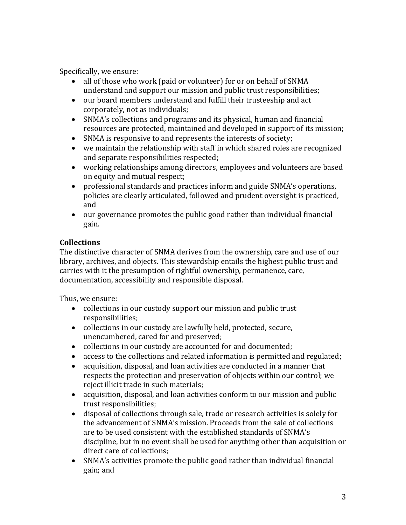Specifically, we ensure:

- all of those who work (paid or volunteer) for or on behalf of SNMA understand and support our mission and public trust responsibilities;
- our board members understand and fulfill their trusteeship and act corporately, not as individuals;
- SNMA's collections and programs and its physical, human and financial resources are protected, maintained and developed in support of its mission;
- SNMA is responsive to and represents the interests of society;
- we maintain the relationship with staff in which shared roles are recognized and separate responsibilities respected;
- working relationships among directors, employees and volunteers are based on equity and mutual respect;
- professional standards and practices inform and guide SNMA's operations, policies are clearly articulated, followed and prudent oversight is practiced, and
- our governance promotes the public good rather than individual financial gain.

## **Collections**

The distinctive character of SNMA derives from the ownership, care and use of our library, archives, and objects. This stewardship entails the highest public trust and carries with it the presumption of rightful ownership, permanence, care, documentation, accessibility and responsible disposal.

Thus, we ensure:

- collections in our custody support our mission and public trust responsibilities;
- collections in our custody are lawfully held, protected, secure, unencumbered, cared for and preserved;
- collections in our custody are accounted for and documented;
- access to the collections and related information is permitted and regulated;
- acquisition, disposal, and loan activities are conducted in a manner that respects the protection and preservation of objects within our control; we reject illicit trade in such materials;
- acquisition, disposal, and loan activities conform to our mission and public trust responsibilities;
- disposal of collections through sale, trade or research activities is solely for the advancement of SNMA's mission. Proceeds from the sale of collections are to be used consistent with the established standards of SNMA's discipline, but in no event shall be used for anything other than acquisition or direct care of collections;
- SNMA's activities promote the public good rather than individual financial gain; and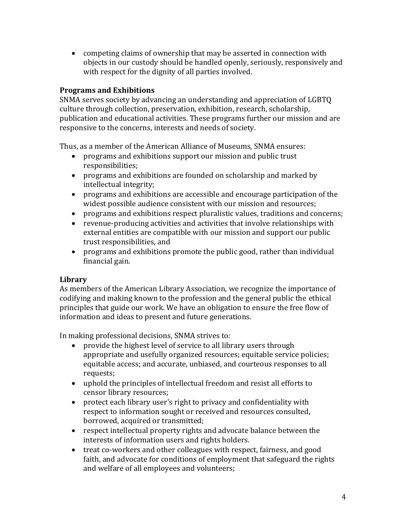• competing claims of ownership that may be asserted in connection with objects in our custody should be handled openly, seriously, responsively and with respect for the dignity of all parties involved.

## **Programs and Exhibitions**

SNMA serves society by advancing an understanding and appreciation of LGBTQ culture through collection, preservation, exhibition, research, scholarship, publication and educational activities. These programs further our mission and are responsive to the concerns, interests and needs of society.

Thus, as a member of the American Alliance of Museums, SNMA ensures:

- programs and exhibitions support our mission and public trust responsibilities;
- programs and exhibitions are founded on scholarship and marked by intellectual integrity;
- programs and exhibitions are accessible and encourage participation of the widest possible audience consistent with our mission and resources;
- programs and exhibitions respect pluralistic values, traditions and concerns;
- revenue-producing activities and activities that involve relationships with external entities are compatible with our mission and support our public trust responsibilities, and
- programs and exhibitions promote the public good, rather than individual financial gain.

## **Library**

As members of the American Library Association, we recognize the importance of codifying and making known to the profession and the general public the ethical principles that guide our work. We have an obligation to ensure the free flow of information and ideas to present and future generations.

In making professional decisions, SNMA strives to:

- provide the highest level of service to all library users through appropriate and usefully organized resources; equitable service policies; equitable access; and accurate, unbiased, and courteous responses to all requests;
- uphold the principles of intellectual freedom and resist all efforts to censor library resources;
- protect each library user's right to privacy and confidentiality with respect to information sought or received and resources consulted, borrowed, acquired or transmitted;
- respect intellectual property rights and advocate balance between the interests of information users and rights holders.
- treat co-workers and other colleagues with respect, fairness, and good faith, and advocate for conditions of employment that safeguard the rights and welfare of all employees and volunteers;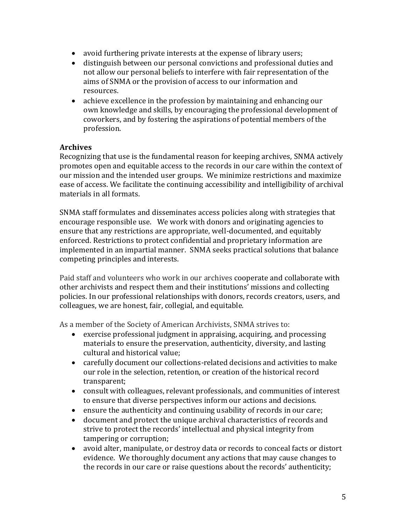- avoid furthering private interests at the expense of library users;
- distinguish between our personal convictions and professional duties and not allow our personal beliefs to interfere with fair representation of the aims of SNMA or the provision of access to our information and resources.
- achieve excellence in the profession by maintaining and enhancing our own knowledge and skills, by encouraging the professional development of coworkers, and by fostering the aspirations of potential members of the profession.

#### **Archives**

Recognizing that use is the fundamental reason for keeping archives, SNMA actively promotes open and equitable access to the records in our care within the context of our mission and the intended user groups. We minimize restrictions and maximize ease of access. We facilitate the continuing accessibility and intelligibility of archival materials in all formats.

SNMA staff formulates and disseminates access policies along with strategies that encourage responsible use. We work with donors and originating agencies to ensure that any restrictions are appropriate, well-documented, and equitably enforced. Restrictions to protect confidential and proprietary information are implemented in an impartial manner. SNMA seeks practical solutions that balance competing principles and interests.

Paid staff and volunteers who work in our archives cooperate and collaborate with other archivists and respect them and their institutions' missions and collecting policies. In our professional relationships with donors, records creators, users, and colleagues, we are honest, fair, collegial, and equitable.

As a member of the Society of American Archivists, SNMA strives to:

- exercise professional judgment in appraising, acquiring, and processing materials to ensure the preservation, authenticity, diversity, and lasting cultural and historical value;
- carefully document our collections-related decisions and activities to make our role in the selection, retention, or creation of the historical record transparent;
- consult with colleagues, relevant professionals, and communities of interest to ensure that diverse perspectives inform our actions and decisions.
- ensure the authenticity and continuing usability of records in our care;
- document and protect the unique archival characteristics of records and strive to protect the records' intellectual and physical integrity from tampering or corruption;
- avoid alter, manipulate, or destroy data or records to conceal facts or distort evidence. We thoroughly document any actions that may cause changes to the records in our care or raise questions about the records' authenticity;